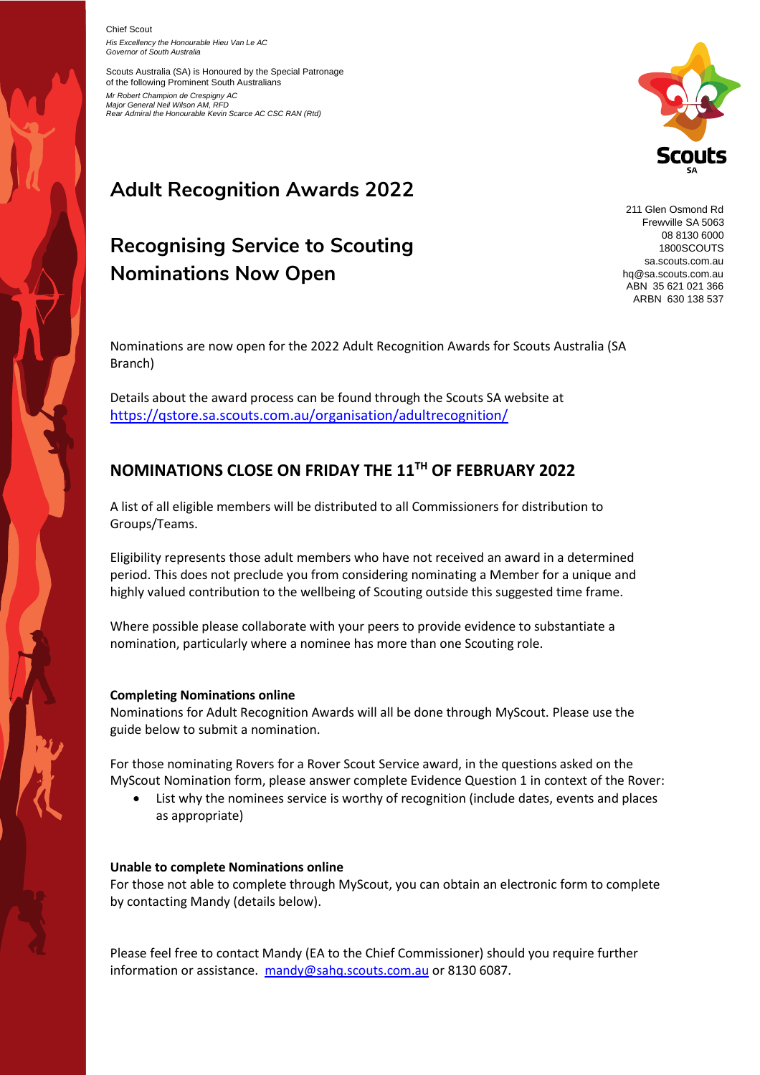Chief Scout

*His Excellency the Honourable Hieu Van Le AC Governor of South Australia*

Scouts Australia (SA) is Honoured by the Special Patronage of the following Prominent South Australians *Mr Robert Champion de Crespigny AC Major General Neil Wilson AM, RFD Rear Admiral the Honourable Kevin Scarce AC CSC RAN (Rtd)*



# **Adult Recognition Awards 2022**

## **Recognising Service to Scouting Nominations Now Open**

211 Glen Osmond Rd Frewville SA 5063 08 8130 6000 1800SCOUTS sa.scouts.com.au hq@sa.scouts.com.au ABN 35 621 021 366 ARBN 630 138 537

Nominations are now open for the 2022 Adult Recognition Awards for Scouts Australia (SA Branch)

Details about the award process can be found through the Scouts SA website at <https://qstore.sa.scouts.com.au/organisation/adultrecognition/>

### **NOMINATIONS CLOSE ON FRIDAY THE 11 TH OF FEBRUARY 2022**

A list of all eligible members will be distributed to all Commissioners for distribution to Groups/Teams.

Eligibility represents those adult members who have not received an award in a determined period. This does not preclude you from considering nominating a Member for a unique and highly valued contribution to the wellbeing of Scouting outside this suggested time frame.

Where possible please collaborate with your peers to provide evidence to substantiate a nomination, particularly where a nominee has more than one Scouting role.

#### **Completing Nominations online**

Nominations for Adult Recognition Awards will all be done through MyScout. Please use the guide below to submit a nomination.

For those nominating Rovers for a Rover Scout Service award, in the questions asked on the MyScout Nomination form, please answer complete Evidence Question 1 in context of the Rover:

• List why the nominees service is worthy of recognition (include dates, events and places as appropriate)

#### **Unable to complete Nominations online**

For those not able to complete through MyScout, you can obtain an electronic form to complete by contacting Mandy (details below).

Please feel free to contact Mandy (EA to the Chief Commissioner) should you require further information or assistance. [mandy@sahq.scouts.com.au](mailto:mandy@sahq.scouts.com.au) or 8130 6087.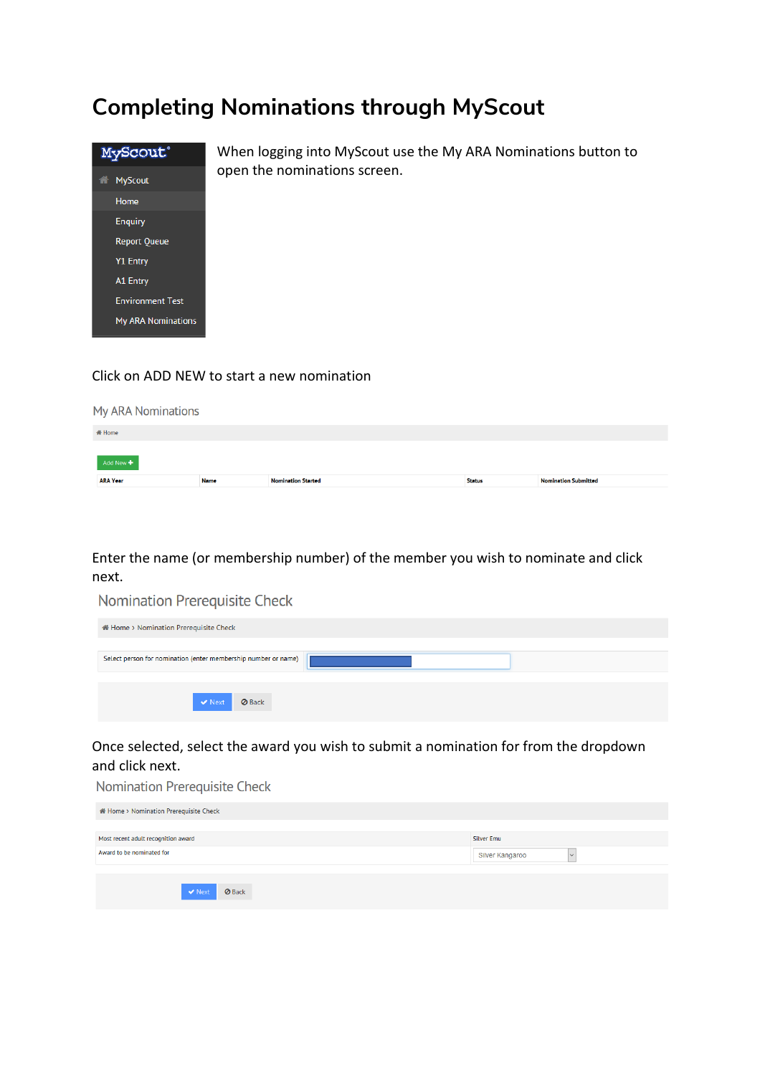### **Completing Nominations through MyScout**



When logging into MyScout use the My ARA Nominations button to open the nominations screen.

#### Click on ADD NEW to start a new nomination

| <b>My ARA Nominations</b> |             |                           |               |                             |  |  |  |  |
|---------------------------|-------------|---------------------------|---------------|-----------------------------|--|--|--|--|
| 备 Home                    |             |                           |               |                             |  |  |  |  |
| Add New +                 |             |                           |               |                             |  |  |  |  |
| <b>ARA Year</b>           | <b>Name</b> | <b>Nomination Started</b> | <b>Status</b> | <b>Nomination Submitted</b> |  |  |  |  |

Enter the name (or membership number) of the member you wish to nominate and click next.

Nomination Prerequisite Check

| <b>A</b> Home > Nomination Prerequisite Check                  |  |
|----------------------------------------------------------------|--|
|                                                                |  |
| Select person for nomination (enter membership number or name) |  |
|                                                                |  |
| <b>Ø</b> Back<br>$\vee$ Next                                   |  |

Once selected, select the award you wish to submit a nomination for from the dropdown and click next.

Nomination Prerequisite Check

| <b># Home &gt; Nomination Prerequisite Check</b> |                   |  |
|--------------------------------------------------|-------------------|--|
| Most recent adult recognition award              | <b>Silver Emu</b> |  |
| Award to be nominated for                        | Silver Kangaroo   |  |
| <b>⊘</b> Back<br>$\vee$ Next                     |                   |  |